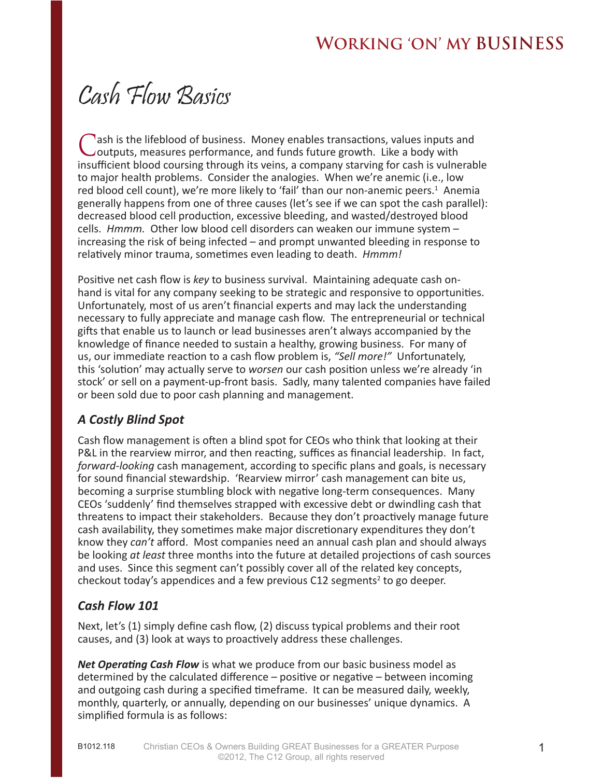# Cash Flow Basics

Cash is the lifeblood of business. Money enables transactions, values inputs and outputs, measures performance, and funds future growth. Like a body with insufficient blood coursing through its veins, a company starving for cash is vulnerable to major health problems. Consider the analogies. When we're anemic (i.e., low red blood cell count), we're more likely to 'fail' than our non-anemic peers.<sup>1</sup> Anemia generally happens from one of three causes (let's see if we can spot the cash parallel): decreased blood cell production, excessive bleeding, and wasted/destroyed blood cells. *Hmmm.* Other low blood cell disorders can weaken our immune system – increasing the risk of being infected – and prompt unwanted bleeding in response to relatively minor trauma, sometimes even leading to death. *Hmmm!*

Positive net cash flow is *key* to business survival. Maintaining adequate cash onhand is vital for any company seeking to be strategic and responsive to opportunities. Unfortunately, most of us aren't financial experts and may lack the understanding necessary to fully appreciate and manage cash flow. The entrepreneurial or technical gifts that enable us to launch or lead businesses aren't always accompanied by the knowledge of finance needed to sustain a healthy, growing business. For many of us, our immediate reaction to a cash flow problem is, *"Sell more!"* Unfortunately, this 'solution' may actually serve to *worsen* our cash position unless we're already 'in stock' or sell on a payment-up-front basis. Sadly, many talented companies have failed or been sold due to poor cash planning and management.

#### *A Costly Blind Spot*

Cash flow management is often a blind spot for CEOs who think that looking at their P&L in the rearview mirror, and then reacting, suffices as financial leadership. In fact, *forward-looking* cash management, according to specific plans and goals, is necessary for sound financial stewardship. 'Rearview mirror' cash management can bite us, becoming a surprise stumbling block with negative long-term consequences. Many CEOs 'suddenly' find themselves strapped with excessive debt or dwindling cash that threatens to impact their stakeholders. Because they don't proactively manage future cash availability, they sometimes make major discretionary expenditures they don't know they *can't* afford. Most companies need an annual cash plan and should always be looking *at least* three months into the future at detailed projections of cash sources and uses. Since this segment can't possibly cover all of the related key concepts, checkout today's appendices and a few previous  $C12$  segments<sup>2</sup> to go deeper.

#### *Cash Flow 101*

Next, let's (1) simply define cash flow, (2) discuss typical problems and their root causes, and (3) look at ways to proactively address these challenges.

*Net Operating Cash Flow* is what we produce from our basic business model as determined by the calculated difference – positive or negative – between incoming and outgoing cash during a specified timeframe. It can be measured daily, weekly, monthly, quarterly, or annually, depending on our businesses' unique dynamics. A simplified formula is as follows: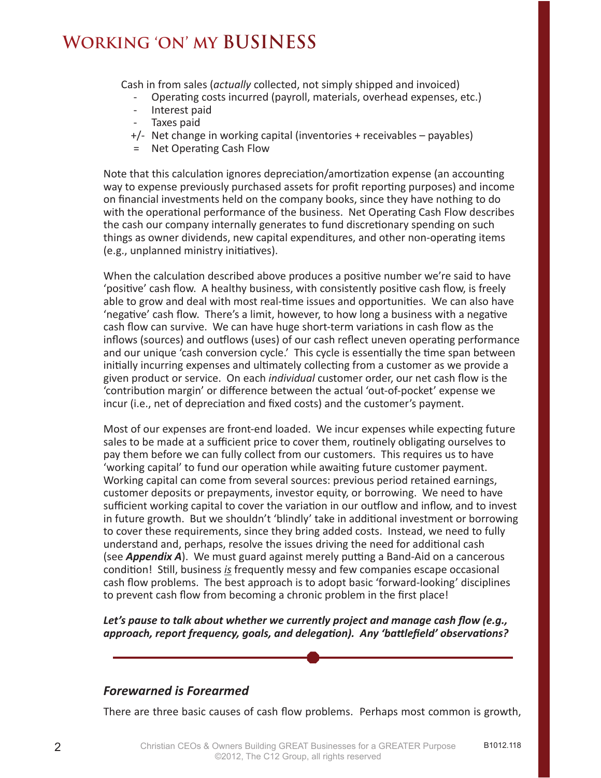Cash in from sales (*actually* collected, not simply shipped and invoiced)

- Operating costs incurred (payroll, materials, overhead expenses, etc.)
- Interest paid
- Taxes paid
- +/- Net change in working capital (inventories + receivables payables)
- = Net Operating Cash Flow

Note that this calculation ignores depreciation/amortization expense (an accounting way to expense previously purchased assets for profit reporting purposes) and income on financial investments held on the company books, since they have nothing to do with the operational performance of the business. Net Operating Cash Flow describes the cash our company internally generates to fund discretionary spending on such things as owner dividends, new capital expenditures, and other non-operating items (e.g., unplanned ministry initiatives).

When the calculation described above produces a positive number we're said to have 'positive' cash flow. A healthy business, with consistently positive cash flow, is freely able to grow and deal with most real-time issues and opportunities. We can also have 'negative' cash flow. There's a limit, however, to how long a business with a negative cash flow can survive. We can have huge short-term variations in cash flow as the inflows (sources) and outflows (uses) of our cash reflect uneven operating performance and our unique 'cash conversion cycle.' This cycle is essentially the time span between initially incurring expenses and ultimately collecting from a customer as we provide a given product or service. On each *individual* customer order, our net cash flow is the 'contribution margin' or difference between the actual 'out-of-pocket' expense we incur (i.e., net of depreciation and fixed costs) and the customer's payment.

Most of our expenses are front-end loaded. We incur expenses while expecting future sales to be made at a sufficient price to cover them, routinely obligating ourselves to pay them before we can fully collect from our customers. This requires us to have 'working capital' to fund our operation while awaiting future customer payment. Working capital can come from several sources: previous period retained earnings, customer deposits or prepayments, investor equity, or borrowing. We need to have sufficient working capital to cover the variation in our outflow and inflow, and to invest in future growth. But we shouldn't 'blindly' take in additional investment or borrowing to cover these requirements, since they bring added costs. Instead, we need to fully understand and, perhaps, resolve the issues driving the need for additional cash (see *Appendix A*). We must guard against merely putting a Band-Aid on a cancerous condition! Still, business *is* frequently messy and few companies escape occasional cash flow problems. The best approach is to adopt basic 'forward-looking' disciplines to prevent cash flow from becoming a chronic problem in the first place!

*Let's pause to talk about whether we currently project and manage cash flow (e.g., approach, report frequency, goals, and delegation). Any 'battlefield' observations?* 

#### *Forewarned is Forearmed*

There are three basic causes of cash flow problems. Perhaps most common is growth,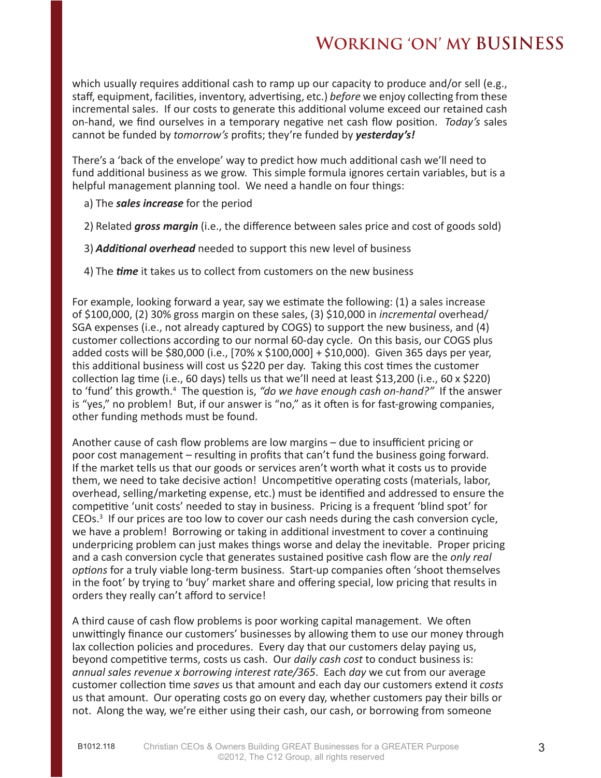which usually requires additional cash to ramp up our capacity to produce and/or sell (e.g., staff, equipment, facilities, inventory, advertising, etc.) *before* we enjoy collecting from these incremental sales. If our costs to generate this additional volume exceed our retained cash on-hand, we find ourselves in a temporary negative net cash flow position. *Today's* sales cannot be funded by *tomorrow's* profits; they're funded by *yesterday's!*

There's a 'back of the envelope' way to predict how much additional cash we'll need to fund additional business as we grow. This simple formula ignores certain variables, but is a helpful management planning tool. We need a handle on four things:

- a) The *sales increase* for the period
- 2) Related *gross margin* (i.e., the difference between sales price and cost of goods sold)
- 3) *Additional overhead* needed to support this new level of business
- 4) The *time* it takes us to collect from customers on the new business

For example, looking forward a year, say we estimate the following: (1) a sales increase of \$100,000, (2) 30% gross margin on these sales, (3) \$10,000 in *incremental* overhead/ SGA expenses (i.e., not already captured by COGS) to support the new business, and (4) customer collections according to our normal 60-day cycle. On this basis, our COGS plus added costs will be \$80,000 (i.e., [70% x \$100,000] + \$10,000). Given 365 days per year, this additional business will cost us \$220 per day. Taking this cost times the customer collection lag time (i.e., 60 days) tells us that we'll need at least \$13,200 (i.e., 60 x \$220) to 'fund' this growth.<sup>4</sup> The question is, "do we have enough cash on-hand?" If the answer is "yes," no problem! But, if our answer is "no," as it often is for fast-growing companies, other funding methods must be found.

Another cause of cash flow problems are low margins – due to insufficient pricing or poor cost management – resulting in profits that can't fund the business going forward. If the market tells us that our goods or services aren't worth what it costs us to provide them, we need to take decisive action! Uncompetitive operating costs (materials, labor, overhead, selling/marketing expense, etc.) must be identified and addressed to ensure the competitive 'unit costs' needed to stay in business. Pricing is a frequent 'blind spot' for CEOs.<sup>3</sup> If our prices are too low to cover our cash needs during the cash conversion cycle, we have a problem! Borrowing or taking in additional investment to cover a continuing underpricing problem can just makes things worse and delay the inevitable. Proper pricing and a cash conversion cycle that generates sustained positive cash flow are the *only real options* for a truly viable long-term business. Start-up companies often 'shoot themselves in the foot' by trying to 'buy' market share and offering special, low pricing that results in orders they really can't afford to service!

A third cause of cash flow problems is poor working capital management. We often unwittingly finance our customers' businesses by allowing them to use our money through lax collection policies and procedures. Every day that our customers delay paying us, beyond competitive terms, costs us cash. Our *daily cash cost* to conduct business is: *annual sales revenue x borrowing interest rate/365*. Each *day* we cut from our average customer collection time *saves* us that amount and each day our customers extend it *costs* us that amount. Our operating costs go on every day, whether customers pay their bills or not. Along the way, we're either using their cash, our cash, or borrowing from someone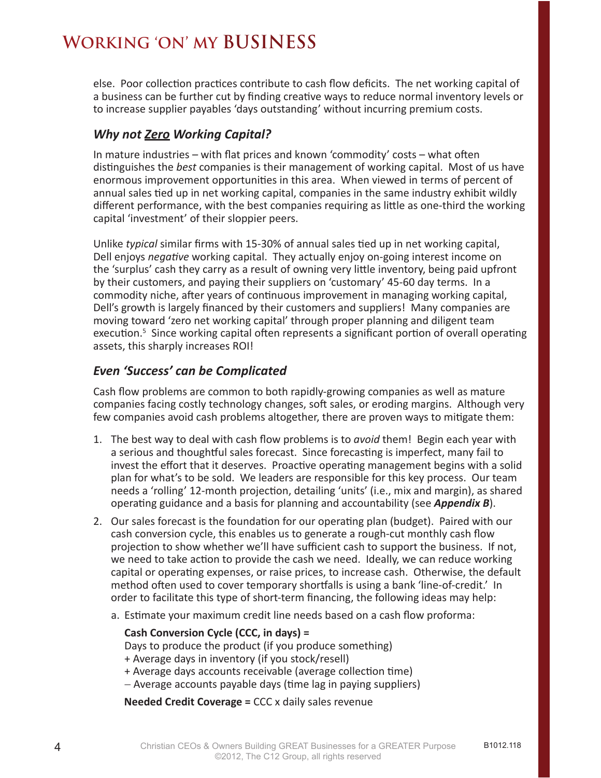else. Poor collection practices contribute to cash flow deficits. The net working capital of a business can be further cut by finding creative ways to reduce normal inventory levels or to increase supplier payables 'days outstanding' without incurring premium costs.

#### *Why not Zero Working Capital?*

In mature industries – with flat prices and known 'commodity' costs – what often distinguishes the *best* companies is their management of working capital. Most of us have enormous improvement opportunities in this area. When viewed in terms of percent of annual sales tied up in net working capital, companies in the same industry exhibit wildly different performance, with the best companies requiring as little as one-third the working capital 'investment' of their sloppier peers.

Unlike *typical* similar firms with 15-30% of annual sales tied up in net working capital, Dell enjoys *negative* working capital. They actually enjoy on-going interest income on the 'surplus' cash they carry as a result of owning very little inventory, being paid upfront by their customers, and paying their suppliers on 'customary' 45-60 day terms. In a commodity niche, after years of continuous improvement in managing working capital, Dell's growth is largely financed by their customers and suppliers! Many companies are moving toward 'zero net working capital' through proper planning and diligent team execution.<sup>5</sup> Since working capital often represents a significant portion of overall operating assets, this sharply increases ROI!

#### *Even 'Success' can be Complicated*

Cash flow problems are common to both rapidly-growing companies as well as mature companies facing costly technology changes, soft sales, or eroding margins. Although very few companies avoid cash problems altogether, there are proven ways to mitigate them:

- 1. The best way to deal with cash flow problems is to *avoid* them! Begin each year with a serious and thoughtful sales forecast. Since forecasting is imperfect, many fail to invest the effort that it deserves. Proactive operating management begins with a solid plan for what's to be sold. We leaders are responsible for this key process. Our team needs a 'rolling' 12-month projection, detailing 'units' (i.e., mix and margin), as shared operating guidance and a basis for planning and accountability (see *Appendix B*).
- 2. Our sales forecast is the foundation for our operating plan (budget). Paired with our cash conversion cycle, this enables us to generate a rough-cut monthly cash flow projection to show whether we'll have sufficient cash to support the business. If not, we need to take action to provide the cash we need. Ideally, we can reduce working capital or operating expenses, or raise prices, to increase cash. Otherwise, the default method often used to cover temporary shortfalls is using a bank 'line-of-credit.' In order to facilitate this type of short-term financing, the following ideas may help:
	- a. Estimate your maximum credit line needs based on a cash flow proforma:

#### **Cash Conversion Cycle (CCC, in days) =** Days to produce the product (if you produce something) + Average days in inventory (if you stock/resell)

- + Average days accounts receivable (average collection time)
- − Average accounts payable days (time lag in paying suppliers)

**Needed Credit Coverage =** CCC x daily sales revenue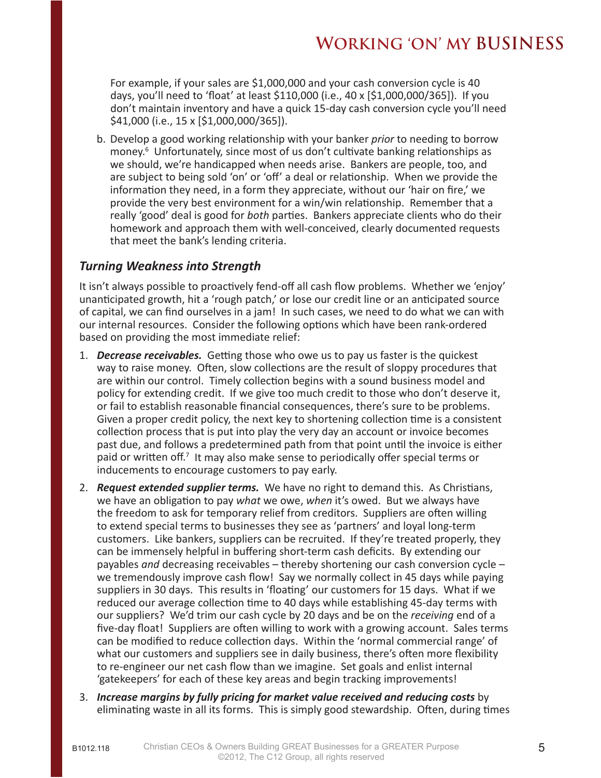For example, if your sales are \$1,000,000 and your cash conversion cycle is 40 days, you'll need to 'float' at least \$110,000 (i.e., 40 x [\$1,000,000/365]). If you don't maintain inventory and have a quick 15-day cash conversion cycle you'll need \$41,000 (i.e., 15 x [\$1,000,000/365]).

b. Develop a good working relationship with your banker *prior* to needing to borrow money.<sup>6</sup> Unfortunately, since most of us don't cultivate banking relationships as we should, we're handicapped when needs arise. Bankers are people, too, and are subject to being sold 'on' or 'off' a deal or relationship. When we provide the information they need, in a form they appreciate, without our 'hair on fire,' we provide the very best environment for a win/win relationship. Remember that a really 'good' deal is good for *both* parties. Bankers appreciate clients who do their homework and approach them with well-conceived, clearly documented requests that meet the bank's lending criteria.

#### *Turning Weakness into Strength*

It isn't always possible to proactively fend-off all cash flow problems. Whether we 'enjoy' unanticipated growth, hit a 'rough patch,' or lose our credit line or an anticipated source of capital, we can find ourselves in a jam! In such cases, we need to do what we can with our internal resources. Consider the following options which have been rank-ordered based on providing the most immediate relief:

- 1. *Decrease receivables.* Getting those who owe us to pay us faster is the quickest way to raise money. Often, slow collections are the result of sloppy procedures that are within our control. Timely collection begins with a sound business model and policy for extending credit. If we give too much credit to those who don't deserve it, or fail to establish reasonable financial consequences, there's sure to be problems. Given a proper credit policy, the next key to shortening collection time is a consistent collection process that is put into play the very day an account or invoice becomes past due, and follows a predetermined path from that point until the invoice is either paid or written off.<sup>7</sup> It may also make sense to periodically offer special terms or inducements to encourage customers to pay early.
- 2. *Request extended supplier terms.* We have no right to demand this. As Christians, we have an obligation to pay *what* we owe, *when* it's owed. But we always have the freedom to ask for temporary relief from creditors. Suppliers are often willing to extend special terms to businesses they see as 'partners' and loyal long-term customers. Like bankers, suppliers can be recruited. If they're treated properly, they can be immensely helpful in buffering short-term cash deficits. By extending our payables *and* decreasing receivables – thereby shortening our cash conversion cycle – we tremendously improve cash flow! Say we normally collect in 45 days while paying suppliers in 30 days. This results in 'floating' our customers for 15 days. What if we reduced our average collection time to 40 days while establishing 45-day terms with our suppliers? We'd trim our cash cycle by 20 days and be on the *receiving* end of a five-day float! Suppliers are often willing to work with a growing account. Sales terms can be modified to reduce collection days. Within the 'normal commercial range' of what our customers and suppliers see in daily business, there's often more flexibility to re-engineer our net cash flow than we imagine. Set goals and enlist internal 'gatekeepers' for each of these key areas and begin tracking improvements!
- 3. *Increase margins by fully pricing for market value received and reducing costs* by eliminating waste in all its forms. This is simply good stewardship. Often, during times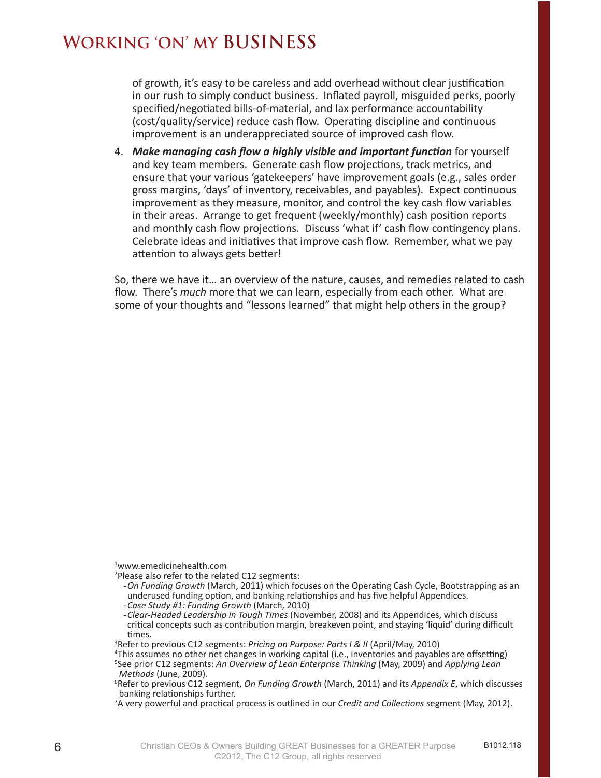of growth, it's easy to be careless and add overhead without clear justification in our rush to simply conduct business. Inflated payroll, misguided perks, poorly specified/negotiated bills-of-material, and lax performance accountability (cost/quality/service) reduce cash flow. Operating discipline and continuous improvement is an underappreciated source of improved cash flow.

4. *Make managing cash flow a highly visible and important function* for yourself and key team members. Generate cash flow projections, track metrics, and ensure that your various 'gatekeepers' have improvement goals (e.g., sales order gross margins, 'days' of inventory, receivables, and payables). Expect continuous improvement as they measure, monitor, and control the key cash flow variables in their areas. Arrange to get frequent (weekly/monthly) cash position reports and monthly cash flow projections. Discuss 'what if' cash flow contingency plans. Celebrate ideas and initiatives that improve cash flow. Remember, what we pay attention to always gets better!

So, there we have it… an overview of the nature, causes, and remedies related to cash flow. There's *much* more that we can learn, especially from each other. What are some of your thoughts and "lessons learned" that might help others in the group?

1 www.emedicinehealth.com

- <sup>2</sup>Please also refer to the related C12 segments:
- -*On Funding Growth* (March, 2011) which focuses on the Operating Cash Cycle, Bootstrapping as an underused funding option, and banking relationships and has five helpful Appendices.
- -*Case Study #1: Funding Growth* (March, 2010)
- -*Clear-Headed Leadership in Tough Times* (November, 2008) and its Appendices, which discuss critical concepts such as contribution margin, breakeven point, and staying 'liquid' during difficult times.
- 3 Refer to previous C12 segments: *Pricing on Purpose: Parts I & II* (April/May, 2010)
- 4 This assumes no other net changes in working capital (i.e., inventories and payables are offsetting) 5 See prior C12 segments: *An Overview of Lean Enterprise Thinking* (May, 2009) and *Applying Lean Methods* (June, 2009).

<sup>6</sup> Refer to previous C12 segment, *On Funding Growth* (March, 2011) and its *Appendix E*, which discusses banking relationships further.

<sup>7</sup> A very powerful and practical process is outlined in our *Credit and Collections* segment (May, 2012).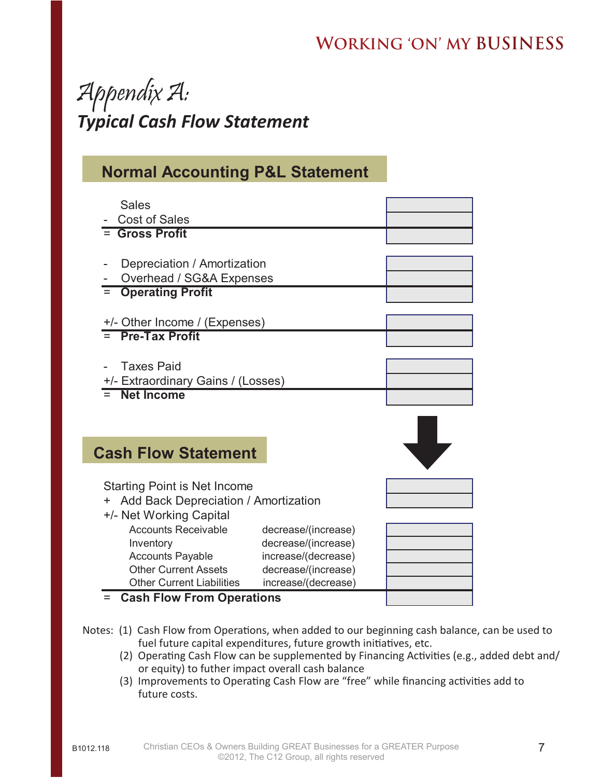# Appendix A: *Typical Cash Flow Statement*

### **Normal Accounting P&L Statement**

| <b>Sales</b><br><b>Cost of Sales</b>                                                                   |                                                                                          |  |
|--------------------------------------------------------------------------------------------------------|------------------------------------------------------------------------------------------|--|
| <b>Gross Profit</b>                                                                                    |                                                                                          |  |
| Depreciation / Amortization                                                                            |                                                                                          |  |
| Overhead / SG&A Expenses<br><b>Operating Profit</b>                                                    |                                                                                          |  |
| +/- Other Income / (Expenses)                                                                          |                                                                                          |  |
| <b>Pre-Tax Profit</b>                                                                                  |                                                                                          |  |
| <b>Taxes Paid</b><br>+/- Extraordinary Gains / (Losses)                                                |                                                                                          |  |
| <b>Net Income</b>                                                                                      |                                                                                          |  |
|                                                                                                        |                                                                                          |  |
| <b>Cash Flow Statement</b>                                                                             |                                                                                          |  |
| <b>Starting Point is Net Income</b><br>Add Back Depreciation / Amortization<br>+/- Net Working Capital |                                                                                          |  |
| <b>Accounts Receivable</b><br>Inventory<br><b>Accounts Payable</b><br><b>Other Current Assets</b>      | decrease/(increase)<br>decrease/(increase)<br>increase/(decrease)<br>decrease/(increase) |  |
| <b>Other Current Liabilities</b><br><b>Cash Flow From Operations</b>                                   | increase/(decrease)                                                                      |  |
|                                                                                                        |                                                                                          |  |

- Notes: (1) Cash Flow from Operations, when added to our beginning cash balance, can be used to fuel future capital expenditures, future growth initiatives, etc.
	- (2) Operating Cash Flow can be supplemented by Financing Activities (e.g., added debt and/ or equity) to futher impact overall cash balance
	- (3) Improvements to Operating Cash Flow are "free" while financing activities add to future costs.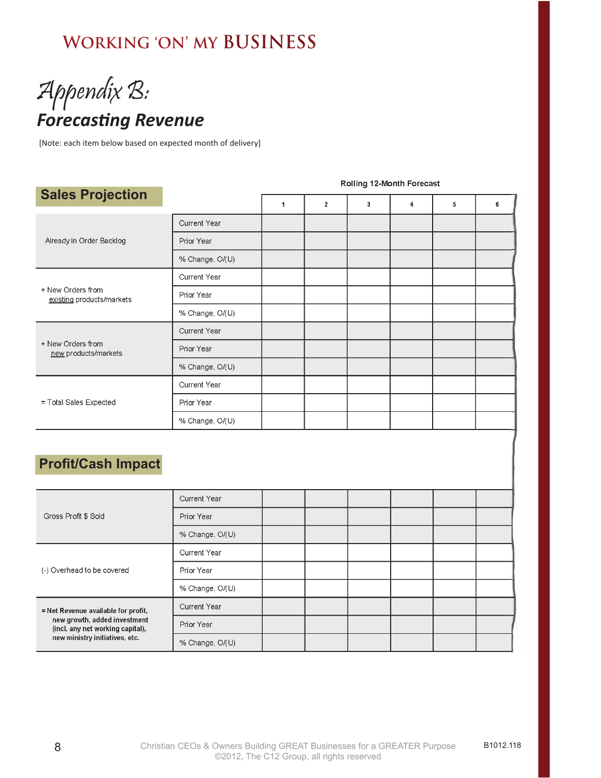# Appendix B: **Forecasting Revenue**

[Note: each item below based on expected month of delivery]

| <b>Sales Projection</b>                        |                     |   |              |   |                     |   |   |
|------------------------------------------------|---------------------|---|--------------|---|---------------------|---|---|
|                                                |                     | 1 | $\mathbf{2}$ | 3 | $\overline{\bf{4}}$ | 5 | 6 |
| Already in Order Backlog                       | Current Year        |   |              |   |                     |   |   |
|                                                | Prior Year          |   |              |   |                     |   |   |
|                                                | % Change, O/(U)     |   |              |   |                     |   |   |
| + New Orders from<br>existing products/markets | <b>Current Year</b> |   |              |   |                     |   |   |
|                                                | Prior Year          |   |              |   |                     |   |   |
|                                                | % Change, O/(U)     |   |              |   |                     |   |   |
| + New Orders from<br>new products/markets      | <b>Current Year</b> |   |              |   |                     |   |   |
|                                                | Prior Year          |   |              |   |                     |   |   |
|                                                | % Change, O/(U)     |   |              |   |                     |   |   |
| = Total Sales Expected                         | Current Year        |   |              |   |                     |   |   |
|                                                | Prior Year          |   |              |   |                     |   |   |
|                                                | % Change, O/(U)     |   |              |   |                     |   |   |

#### Rolling 12-Month Forecast

#### **Profit/Cash Impact**

| Gross Profit \$ Sold                                                                                                                      | <b>Current Year</b> |  |  |  |
|-------------------------------------------------------------------------------------------------------------------------------------------|---------------------|--|--|--|
|                                                                                                                                           | Prior Year          |  |  |  |
|                                                                                                                                           | % Change, O/(U)     |  |  |  |
| (-) Overhead to be covered                                                                                                                | <b>Current Year</b> |  |  |  |
|                                                                                                                                           | Prior Year          |  |  |  |
|                                                                                                                                           | % Change, O/(U)     |  |  |  |
| = Net Revenue available for profit,<br>new growth, added investment<br>(incl. any net working capital),<br>new ministry initiatives, etc. | <b>Current Year</b> |  |  |  |
|                                                                                                                                           | Prior Year          |  |  |  |
|                                                                                                                                           | % Change, O/(U)     |  |  |  |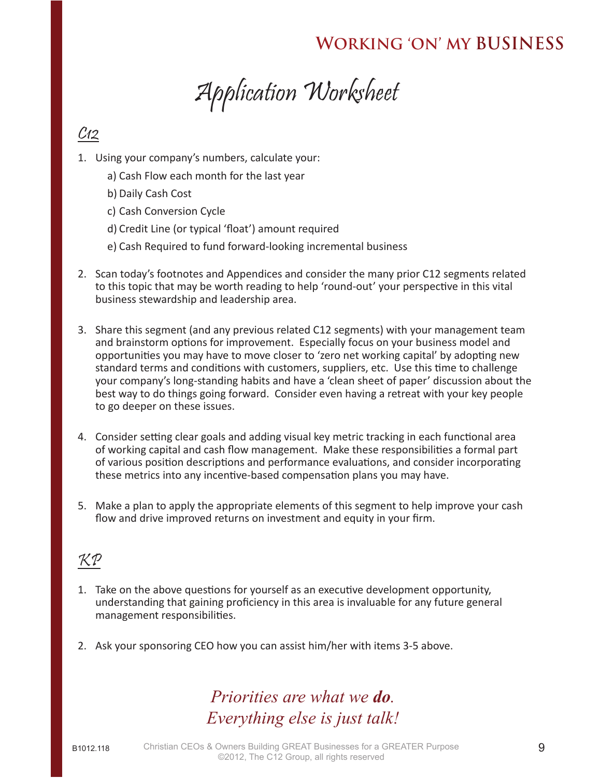Application Worksheet

### $C<sub>12</sub>$

- 1. Using your company's numbers, calculate your:
	- a) Cash Flow each month for the last year
	- b) Daily Cash Cost
	- c) Cash Conversion Cycle
	- d) Credit Line (or typical 'float') amount required
	- e) Cash Required to fund forward-looking incremental business
- 2. Scan today's footnotes and Appendices and consider the many prior C12 segments related to this topic that may be worth reading to help 'round-out' your perspective in this vital business stewardship and leadership area.
- 3. Share this segment (and any previous related C12 segments) with your management team and brainstorm options for improvement. Especially focus on your business model and opportunities you may have to move closer to 'zero net working capital' by adopting new standard terms and conditions with customers, suppliers, etc. Use this time to challenge your company's long-standing habits and have a 'clean sheet of paper' discussion about the best way to do things going forward. Consider even having a retreat with your key people to go deeper on these issues.
- 4. Consider setting clear goals and adding visual key metric tracking in each functional area of working capital and cash flow management. Make these responsibilities a formal part of various position descriptions and performance evaluations, and consider incorporating these metrics into any incentive-based compensation plans you may have.
- 5. Make a plan to apply the appropriate elements of this segment to help improve your cash flow and drive improved returns on investment and equity in your firm.

## KP

- 1. Take on the above questions for yourself as an executive development opportunity, understanding that gaining proficiency in this area is invaluable for any future general management responsibilities.
- 2. Ask your sponsoring CEO how you can assist him/her with items 3-5 above.

## *Priorities are what we do. Everything else is just talk!*